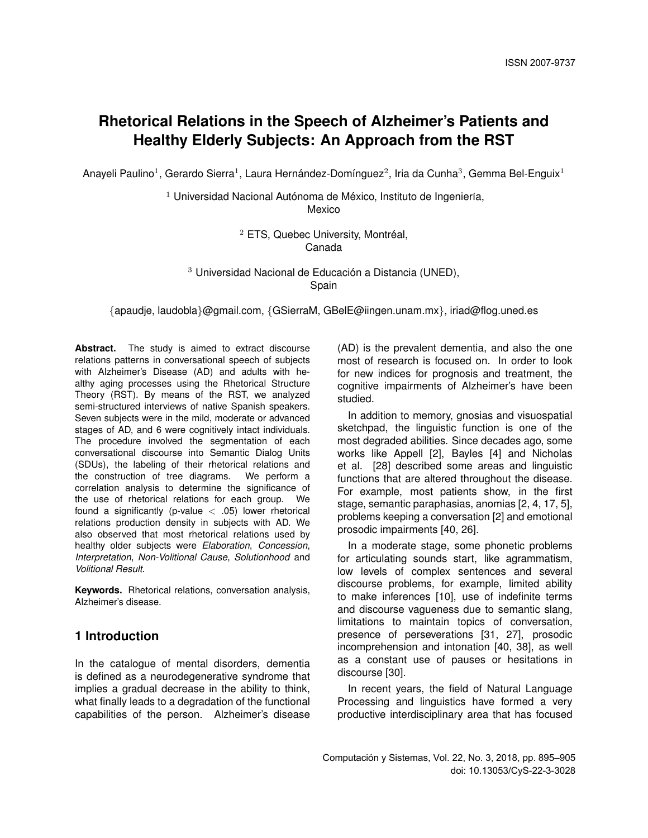# **Rhetorical Relations in the Speech of Alzheimer's Patients and Healthy Elderly Subjects: An Approach from the RST**

Anayeli Paulino<sup>1</sup>, Gerardo Sierra<sup>1</sup>, Laura Hernández-Domínguez<sup>2</sup>, Iria da Cunha<sup>3</sup>, Gemma Bel-Enguix<sup>1</sup>

 $1$  Universidad Nacional Autónoma de México, Instituto de Ingeniería, Mexico

> $2$  ETS, Quebec University, Montréal, Canada

 $3$  Universidad Nacional de Educación a Distancia (UNED), Spain

{apaudje, laudobla}@gmail.com, {GSierraM, GBelE@iingen.unam.mx}, iriad@flog.uned.es

Abstract. The study is aimed to extract discourse relations patterns in conversational speech of subjects with Alzheimer's Disease (AD) and adults with healthy aging processes using the Rhetorical Structure Theory (RST). By means of the RST, we analyzed semi-structured interviews of native Spanish speakers. Seven subjects were in the mild, moderate or advanced stages of AD, and 6 were cognitively intact individuals. The procedure involved the segmentation of each conversational discourse into Semantic Dialog Units (SDUs), the labeling of their rhetorical relations and the construction of tree diagrams. We perform a correlation analysis to determine the significance of the use of rhetorical relations for each group. We found a significantly (p-value  $< .05$ ) lower rhetorical relations production density in subjects with AD. We also observed that most rhetorical relations used by healthy older subjects were *Elaboration*, *Concession*, *Interpretation*, *Non-Volitional Cause*, *Solutionhood* and *Volitional Result*.

**Keywords.** Rhetorical relations, conversation analysis, Alzheimer's disease.

## **1 Introduction**

In the catalogue of mental disorders, dementia is defined as a neurodegenerative syndrome that implies a gradual decrease in the ability to think, what finally leads to a degradation of the functional capabilities of the person. Alzheimer's disease (AD) is the prevalent dementia, and also the one most of research is focused on. In order to look for new indices for prognosis and treatment, the cognitive impairments of Alzheimer's have been studied.

In addition to memory, gnosias and visuospatial sketchpad, the linguistic function is one of the most degraded abilities. Since decades ago, some works like Appell [2], Bayles [4] and Nicholas et al. [28] described some areas and linguistic functions that are altered throughout the disease. For example, most patients show, in the first stage, semantic paraphasias, anomias [2, 4, 17, 5], problems keeping a conversation [2] and emotional prosodic impairments [40, 26].

In a moderate stage, some phonetic problems for articulating sounds start, like agrammatism, low levels of complex sentences and several discourse problems, for example, limited ability to make inferences [10], use of indefinite terms and discourse vagueness due to semantic slang, limitations to maintain topics of conversation, presence of perseverations [31, 27], prosodic incomprehension and intonation [40, 38], as well as a constant use of pauses or hesitations in discourse [30].

In recent years, the field of Natural Language Processing and linguistics have formed a very productive interdisciplinary area that has focused

Computación y Sistemas, Vol. 22, No. 3, 2018, pp. 895–905 doi: 10.13053/CyS-22-3-3028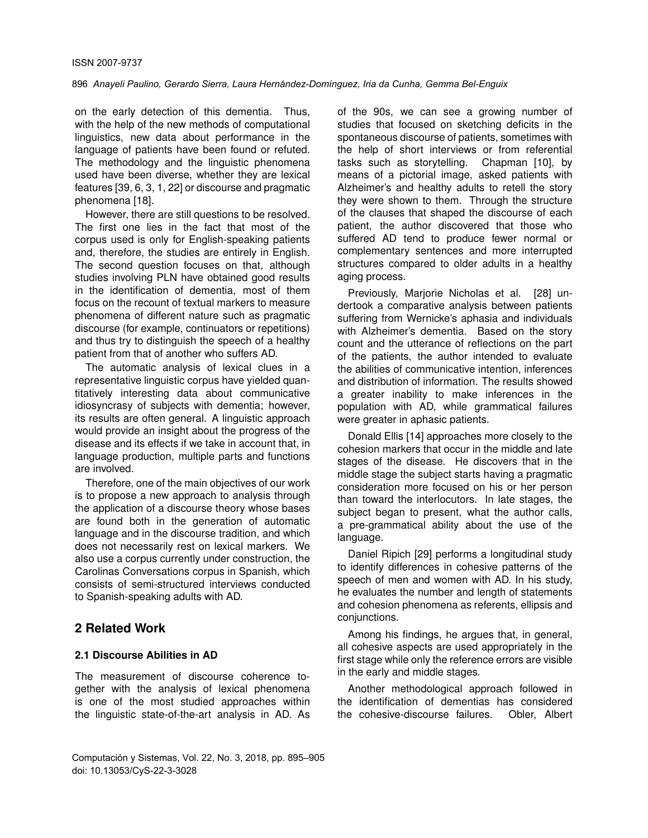on the early detection of this dementia. Thus, with the help of the new methods of computational linguistics, new data about performance in the language of patients have been found or refuted. The methodology and the linguistic phenomena used have been diverse, whether they are lexical features [39, 6, 3, 1, 22] or discourse and pragmatic phenomena [18].

However, there are still questions to be resolved. The first one lies in the fact that most of the corpus used is only for English-speaking patients and, therefore, the studies are entirely in English. The second question focuses on that, although studies involving PLN have obtained good results in the identification of dementia, most of them focus on the recount of textual markers to measure phenomena of different nature such as pragmatic discourse (for example, continuators or repetitions) and thus try to distinguish the speech of a healthy patient from that of another who suffers AD.

The automatic analysis of lexical clues in a representative linguistic corpus have yielded quantitatively interesting data about communicative idiosyncrasy of subjects with dementia; however, its results are often general. A linguistic approach would provide an insight about the progress of the disease and its effects if we take in account that, in language production, multiple parts and functions are involved.

Therefore, one of the main objectives of our work is to propose a new approach to analysis through the application of a discourse theory whose bases are found both in the generation of automatic language and in the discourse tradition, and which does not necessarily rest on lexical markers. We also use a corpus currently under construction, the Carolinas Conversations corpus in Spanish, which consists of semi-structured interviews conducted to Spanish-speaking adults with AD.

## **2 Related Work**

#### **2.1 Discourse Abilities in AD**

The measurement of discourse coherence together with the analysis of lexical phenomena is one of the most studied approaches within the linguistic state-of-the-art analysis in AD. As of the 90s, we can see a growing number of studies that focused on sketching deficits in the spontaneous discourse of patients, sometimes with the help of short interviews or from referential tasks such as storytelling. Chapman [10], by means of a pictorial image, asked patients with Alzheimer's and healthy adults to retell the story they were shown to them. Through the structure of the clauses that shaped the discourse of each patient, the author discovered that those who suffered AD tend to produce fewer normal or complementary sentences and more interrupted structures compared to older adults in a healthy aging process.

Previously, Marjorie Nicholas et al. [28] undertook a comparative analysis between patients suffering from Wernicke's aphasia and individuals with Alzheimer's dementia. Based on the story count and the utterance of reflections on the part of the patients, the author intended to evaluate the abilities of communicative intention, inferences and distribution of information. The results showed a greater inability to make inferences in the population with AD, while grammatical failures were greater in aphasic patients.

Donald Ellis [14] approaches more closely to the cohesion markers that occur in the middle and late stages of the disease. He discovers that in the middle stage the subject starts having a pragmatic consideration more focused on his or her person than toward the interlocutors. In late stages, the subject began to present, what the author calls, a pre-grammatical ability about the use of the language.

Daniel Ripich [29] performs a longitudinal study to identify differences in cohesive patterns of the speech of men and women with AD. In his study, he evaluates the number and length of statements and cohesion phenomena as referents, ellipsis and conjunctions.

Among his findings, he argues that, in general, all cohesive aspects are used appropriately in the first stage while only the reference errors are visible in the early and middle stages.

Another methodological approach followed in the identification of dementias has considered the cohesive-discourse failures. Obler, Albert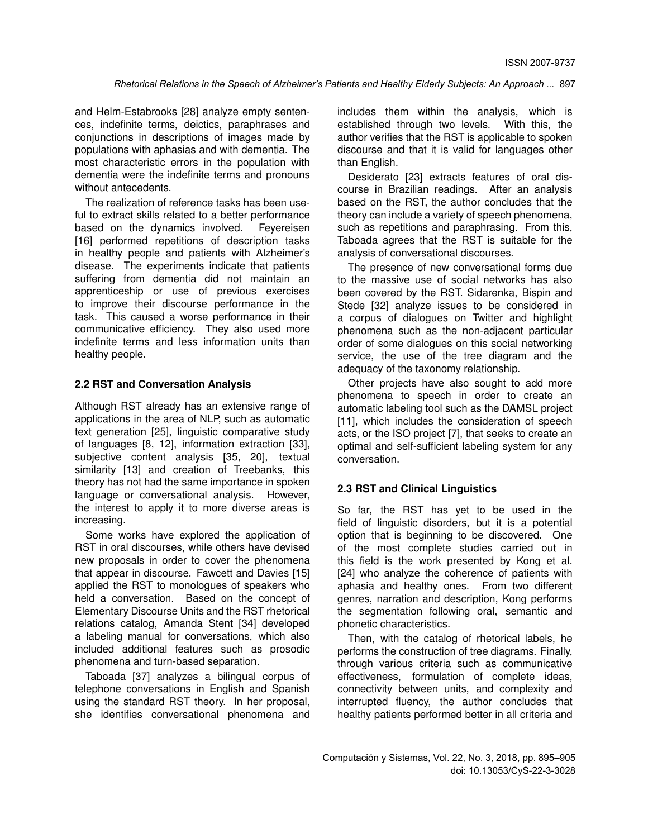and Helm-Estabrooks [28] analyze empty sentences, indefinite terms, deictics, paraphrases and conjunctions in descriptions of images made by populations with aphasias and with dementia. The most characteristic errors in the population with dementia were the indefinite terms and pronouns without antecedents.

The realization of reference tasks has been useful to extract skills related to a better performance based on the dynamics involved. Feyereisen [16] performed repetitions of description tasks in healthy people and patients with Alzheimer's disease. The experiments indicate that patients suffering from dementia did not maintain an apprenticeship or use of previous exercises to improve their discourse performance in the task. This caused a worse performance in their communicative efficiency. They also used more indefinite terms and less information units than healthy people.

#### **2.2 RST and Conversation Analysis**

Although RST already has an extensive range of applications in the area of NLP, such as automatic text generation [25], linguistic comparative study of languages [8, 12], information extraction [33], subjective content analysis [35, 20], textual similarity [13] and creation of Treebanks, this theory has not had the same importance in spoken language or conversational analysis. However, the interest to apply it to more diverse areas is increasing.

Some works have explored the application of RST in oral discourses, while others have devised new proposals in order to cover the phenomena that appear in discourse. Fawcett and Davies [15] applied the RST to monologues of speakers who held a conversation. Based on the concept of Elementary Discourse Units and the RST rhetorical relations catalog, Amanda Stent [34] developed a labeling manual for conversations, which also included additional features such as prosodic phenomena and turn-based separation.

Taboada [37] analyzes a bilingual corpus of telephone conversations in English and Spanish using the standard RST theory. In her proposal, she identifies conversational phenomena and

includes them within the analysis, which is established through two levels. With this, the author verifies that the RST is applicable to spoken discourse and that it is valid for languages other than English.

Desiderato [23] extracts features of oral discourse in Brazilian readings. After an analysis based on the RST, the author concludes that the theory can include a variety of speech phenomena, such as repetitions and paraphrasing. From this, Taboada agrees that the RST is suitable for the analysis of conversational discourses.

The presence of new conversational forms due to the massive use of social networks has also been covered by the RST. Sidarenka, Bispin and Stede [32] analyze issues to be considered in a corpus of dialogues on Twitter and highlight phenomena such as the non-adjacent particular order of some dialogues on this social networking service, the use of the tree diagram and the adequacy of the taxonomy relationship.

Other projects have also sought to add more phenomena to speech in order to create an automatic labeling tool such as the DAMSL project [11], which includes the consideration of speech acts, or the ISO project [7], that seeks to create an optimal and self-sufficient labeling system for any conversation.

#### **2.3 RST and Clinical Linguistics**

So far, the RST has yet to be used in the field of linguistic disorders, but it is a potential option that is beginning to be discovered. One of the most complete studies carried out in this field is the work presented by Kong et al. [24] who analyze the coherence of patients with aphasia and healthy ones. From two different genres, narration and description, Kong performs the segmentation following oral, semantic and phonetic characteristics.

Then, with the catalog of rhetorical labels, he performs the construction of tree diagrams. Finally, through various criteria such as communicative effectiveness, formulation of complete ideas, connectivity between units, and complexity and interrupted fluency, the author concludes that healthy patients performed better in all criteria and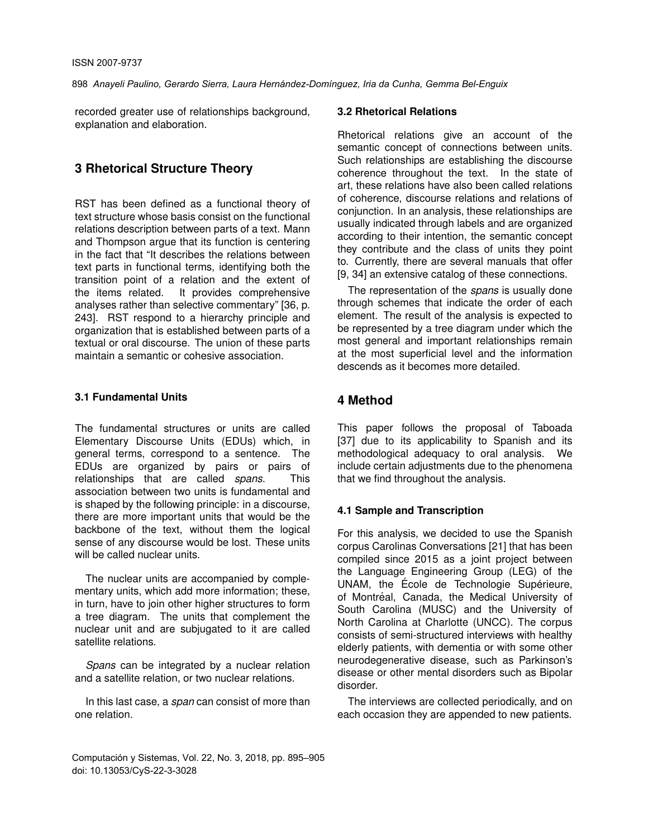recorded greater use of relationships background, explanation and elaboration.

## **3 Rhetorical Structure Theory**

RST has been defined as a functional theory of text structure whose basis consist on the functional relations description between parts of a text. Mann and Thompson argue that its function is centering in the fact that "It describes the relations between text parts in functional terms, identifying both the transition point of a relation and the extent of<br>the items related. It provides comprehensive It provides comprehensive analyses rather than selective commentary" [36, p. 243]. RST respond to a hierarchy principle and organization that is established between parts of a textual or oral discourse. The union of these parts maintain a semantic or cohesive association.

#### **3.1 Fundamental Units**

The fundamental structures or units are called Elementary Discourse Units (EDUs) which, in general terms, correspond to a sentence. The EDUs are organized by pairs or pairs of relationships that are called *spans*. This relationships that are called *spans*. association between two units is fundamental and is shaped by the following principle: in a discourse, there are more important units that would be the backbone of the text, without them the logical sense of any discourse would be lost. These units will be called nuclear units.

The nuclear units are accompanied by complementary units, which add more information; these, in turn, have to join other higher structures to form a tree diagram. The units that complement the nuclear unit and are subjugated to it are called satellite relations.

*Spans* can be integrated by a nuclear relation and a satellite relation, or two nuclear relations.

In this last case, a *span* can consist of more than one relation.

#### **3.2 Rhetorical Relations**

Rhetorical relations give an account of the semantic concept of connections between units. Such relationships are establishing the discourse coherence throughout the text. In the state of art, these relations have also been called relations of coherence, discourse relations and relations of conjunction. In an analysis, these relationships are usually indicated through labels and are organized according to their intention, the semantic concept they contribute and the class of units they point to. Currently, there are several manuals that offer [9, 34] an extensive catalog of these connections.

The representation of the *spans* is usually done through schemes that indicate the order of each element. The result of the analysis is expected to be represented by a tree diagram under which the most general and important relationships remain at the most superficial level and the information descends as it becomes more detailed.

## **4 Method**

This paper follows the proposal of Taboada [37] due to its applicability to Spanish and its methodological adequacy to oral analysis. We include certain adjustments due to the phenomena that we find throughout the analysis.

## **4.1 Sample and Transcription**

For this analysis, we decided to use the Spanish corpus Carolinas Conversations [21] that has been compiled since 2015 as a joint project between the Language Engineering Group (LEG) of the UNAM, the École de Technologie Supérieure, of Montréal, Canada, the Medical University of South Carolina (MUSC) and the University of North Carolina at Charlotte (UNCC). The corpus consists of semi-structured interviews with healthy elderly patients, with dementia or with some other neurodegenerative disease, such as Parkinson's disease or other mental disorders such as Bipolar disorder.

The interviews are collected periodically, and on each occasion they are appended to new patients.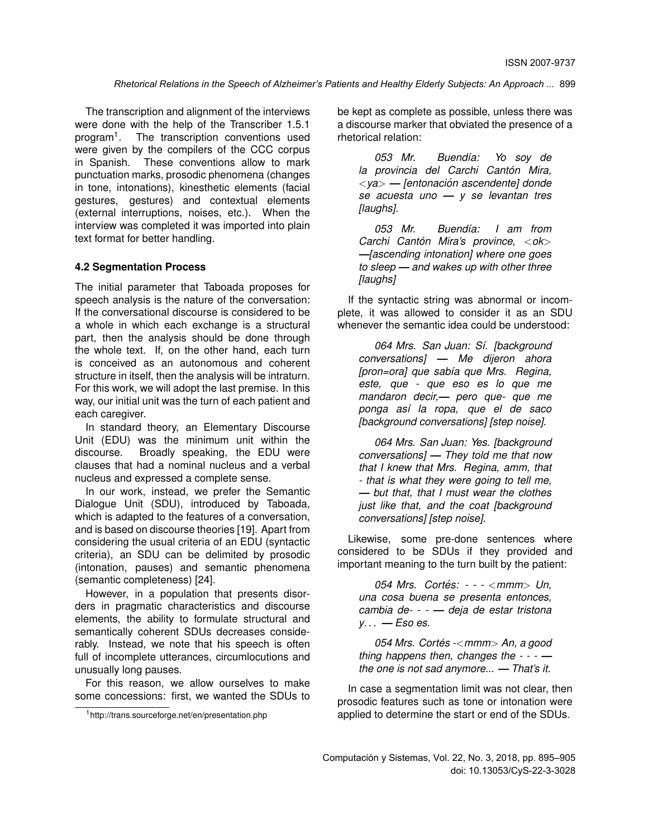The transcription and alignment of the interviews were done with the help of the Transcriber 1.5.1 program<sup>1</sup>. . The transcription conventions used were given by the compilers of the CCC corpus in Spanish. These conventions allow to mark punctuation marks, prosodic phenomena (changes in tone, intonations), kinesthetic elements (facial gestures, gestures) and contextual elements (external interruptions, noises, etc.). When the interview was completed it was imported into plain text format for better handling.

#### **4.2 Segmentation Process**

The initial parameter that Taboada proposes for speech analysis is the nature of the conversation: If the conversational discourse is considered to be a whole in which each exchange is a structural part, then the analysis should be done through the whole text. If, on the other hand, each turn is conceived as an autonomous and coherent structure in itself, then the analysis will be intraturn. For this work, we will adopt the last premise. In this way, our initial unit was the turn of each patient and each caregiver.

In standard theory, an Elementary Discourse Unit (EDU) was the minimum unit within the discourse. Broadly speaking, the EDU were clauses that had a nominal nucleus and a verbal nucleus and expressed a complete sense.

In our work, instead, we prefer the Semantic Dialogue Unit (SDU), introduced by Taboada, which is adapted to the features of a conversation, and is based on discourse theories [19]. Apart from considering the usual criteria of an EDU (syntactic criteria), an SDU can be delimited by prosodic (intonation, pauses) and semantic phenomena (semantic completeness) [24].

However, in a population that presents disorders in pragmatic characteristics and discourse elements, the ability to formulate structural and semantically coherent SDUs decreases considerably. Instead, we note that his speech is often full of incomplete utterances, circumlocutions and unusually long pauses.

For this reason, we allow ourselves to make some concessions: first, we wanted the SDUs to be kept as complete as possible, unless there was a discourse marker that obviated the presence of a rhetorical relation:

053 Mr. Buendía: Yo soy de *la provincia del Carchi Canton Mira, ´* <*ya*> *— [entonacion ascendente] donde ´ se acuesta uno — y se levantan tres [laughs].*

053 Mr. Buendía: I am from *Carchi Canton Mira's province, ´* <*ok*> *—[ascending intonation] where one goes to sleep — and wakes up with other three [laughs]*

If the syntactic string was abnormal or incomplete, it was allowed to consider it as an SDU whenever the semantic idea could be understood:

*064 Mrs. San Juan: S´ı. [background conversations]* **—** *Me dijeron ahora [pron=ora] que sabía que Mrs. Regina, este, que - que eso es lo que me mandaron decir,— pero que- que me ponga as´ı la ropa, que el de saco [background conversations] [step noise]*.

*064 Mrs. San Juan: Yes. [background conversations] — They told me that now that I knew that Mrs. Regina, amm, that - that is what they were going to tell me, — but that, that I must wear the clothes just like that, and the coat [background conversations] [step noise].*

Likewise, some pre-done sentences where considered to be SDUs if they provided and important meaning to the turn built by the patient:

*054 Mrs. Cortes: - - - ´* <*mmm*> *Un, una cosa buena se presenta entonces, cambia de- - - — deja de estar tristona y. . . — Eso es.*

*054 Mrs. Cortes - ´* <*mmm*> *An, a good thing happens then, changes the - - - the one is not sad anymore... — That's it.*

In case a segmentation limit was not clear, then prosodic features such as tone or intonation were applied to determine the start or end of the SDUs.

<sup>1</sup>http://trans.sourceforge.net/en/presentation.php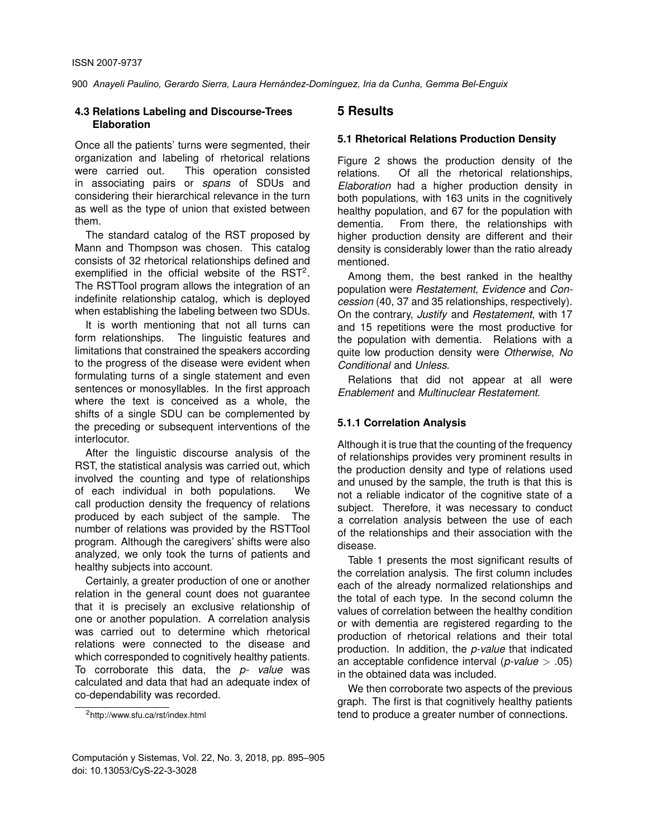#### **4.3 Relations Labeling and Discourse-Trees Elaboration**

Once all the patients' turns were segmented, their organization and labeling of rhetorical relations were carried out. This operation consisted in associating pairs or *spans* of SDUs and considering their hierarchical relevance in the turn as well as the type of union that existed between them.

The standard catalog of the RST proposed by Mann and Thompson was chosen. This catalog consists of 32 rhetorical relationships defined and exemplified in the official website of the  $RST<sup>2</sup>$ . The RSTTool program allows the integration of an indefinite relationship catalog, which is deployed when establishing the labeling between two SDUs.

It is worth mentioning that not all turns can form relationships. The linguistic features and limitations that constrained the speakers according to the progress of the disease were evident when formulating turns of a single statement and even sentences or monosyllables. In the first approach where the text is conceived as a whole, the shifts of a single SDU can be complemented by the preceding or subsequent interventions of the interlocutor.

After the linguistic discourse analysis of the RST, the statistical analysis was carried out, which involved the counting and type of relationships of each individual in both populations. We call production density the frequency of relations produced by each subject of the sample. The number of relations was provided by the RSTTool program. Although the caregivers' shifts were also analyzed, we only took the turns of patients and healthy subjects into account.

Certainly, a greater production of one or another relation in the general count does not guarantee that it is precisely an exclusive relationship of one or another population. A correlation analysis was carried out to determine which rhetorical relations were connected to the disease and which corresponded to cognitively healthy patients. To corroborate this data, the *p- value* was calculated and data that had an adequate index of co-dependability was recorded.

#### <sup>2</sup>http://www.sfu.ca/rst/index.html

### **5 Results**

## **5.1 Rhetorical Relations Production Density**

Figure 2 shows the production density of the relations. Of all the rhetorical relationships, *Elaboration* had a higher production density in both populations, with 163 units in the cognitively healthy population, and 67 for the population with dementia. From there, the relationships with higher production density are different and their density is considerably lower than the ratio already mentioned.

Among them, the best ranked in the healthy population were *Restatement*, *Evidence* and *Concession* (40, 37 and 35 relationships, respectively). On the contrary, *Justify* and *Restatement*, with 17 and 15 repetitions were the most productive for the population with dementia. Relations with a quite low production density were *Otherwise*, *No Conditional* and *Unless*.

Relations that did not appear at all were *Enablement* and *Multinuclear Restatement*.

## **5.1.1 Correlation Analysis**

Although it is true that the counting of the frequency of relationships provides very prominent results in the production density and type of relations used and unused by the sample, the truth is that this is not a reliable indicator of the cognitive state of a subject. Therefore, it was necessary to conduct a correlation analysis between the use of each of the relationships and their association with the disease.

Table 1 presents the most significant results of the correlation analysis. The first column includes each of the already normalized relationships and the total of each type. In the second column the values of correlation between the healthy condition or with dementia are registered regarding to the production of rhetorical relations and their total production. In addition, the *p-value* that indicated an acceptable confidence interval (*p-value* > .05) in the obtained data was included.

We then corroborate two aspects of the previous graph. The first is that cognitively healthy patients tend to produce a greater number of connections.

Computación y Sistemas, Vol. 22, No. 3, 2018, pp. 895–905 doi: 10.13053/CyS-22-3-3028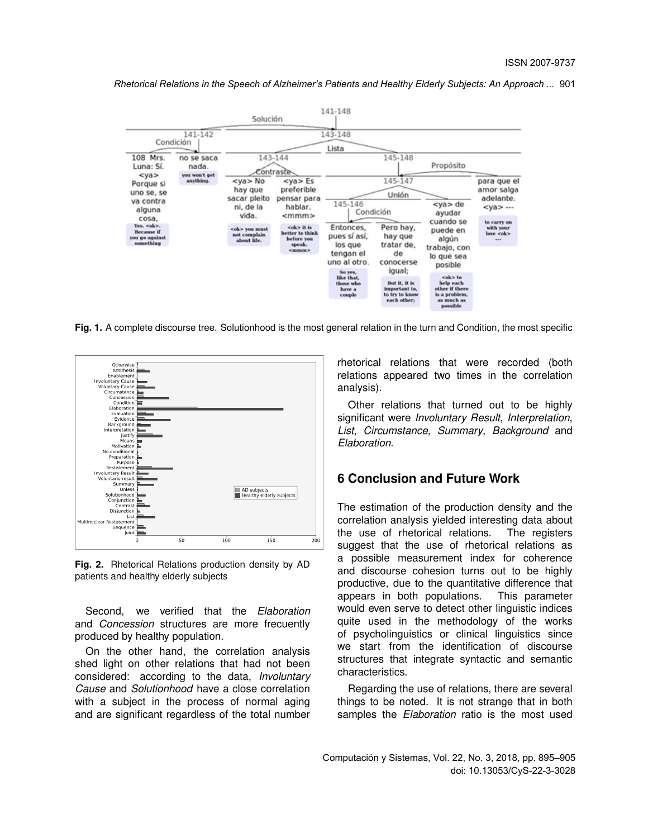*Rhetorical Relations in the Speech of Alzheimer's Patients and Healthy Elderly Subjects: An Approach ...* 901



**Fig. 1.** A complete discourse tree. Solutionhood is the most general relation in the turn and Condition, the most specific



**Fig. 2.** Rhetorical Relations production density by AD patients and healthy elderly subjects

Second, we verified that the *Elaboration* and *Concession* structures are more frecuently produced by healthy population.

On the other hand, the correlation analysis shed light on other relations that had not been considered: according to the data, *Involuntary Cause* and *Solutionhood* have a close correlation with a subject in the process of normal aging and are significant regardless of the total number rhetorical relations that were recorded (both relations appeared two times in the correlation analysis).

Other relations that turned out to be highly significant were *Involuntary Result*, *Interpretation*, *List*, *Circumstance*, *Summary*, *Background* and *Elaboration*.

## **6 Conclusion and Future Work**

The estimation of the production density and the correlation analysis yielded interesting data about the use of rhetorical relations. The registers suggest that the use of rhetorical relations as a possible measurement index for coherence and discourse cohesion turns out to be highly productive, due to the quantitative difference that appears in both populations. This parameter would even serve to detect other linguistic indices quite used in the methodology of the works of psycholinguistics or clinical linguistics since we start from the identification of discourse structures that integrate syntactic and semantic characteristics.

Regarding the use of relations, there are several things to be noted. It is not strange that in both samples the *Elaboration* ratio is the most used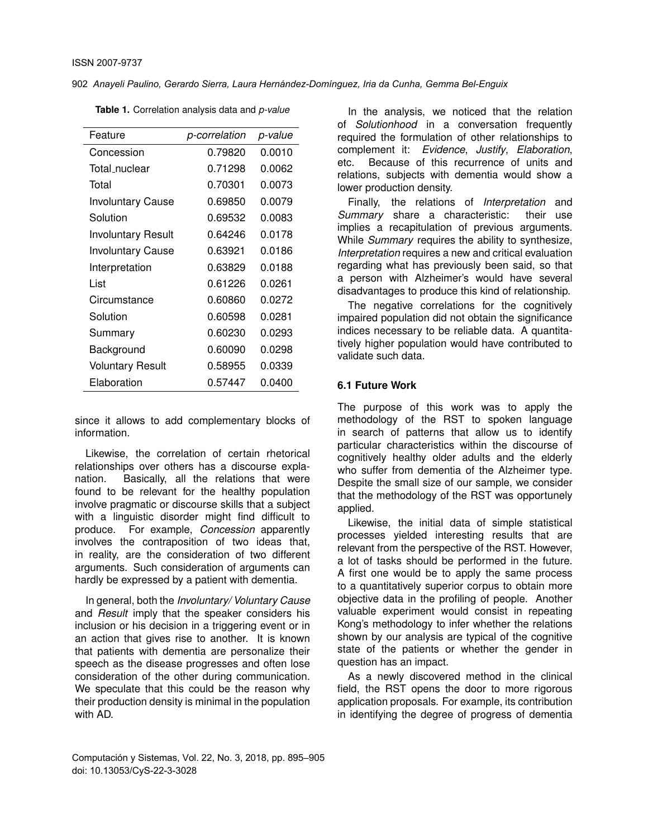| Feature                   | p-correlation | p-value |
|---------------------------|---------------|---------|
| Concession                | 0.79820       | 0.0010  |
| Total nuclear             | 0.71298       | 0.0062  |
| Total                     | 0.70301       | 0.0073  |
| <b>Involuntary Cause</b>  | 0.69850       | 0.0079  |
| Solution                  | 0.69532       | 0.0083  |
| <b>Involuntary Result</b> | 0.64246       | 0.0178  |
| <b>Involuntary Cause</b>  | 0.63921       | 0.0186  |
| Interpretation            | 0.63829       | 0.0188  |
| List                      | 0.61226       | 0.0261  |
| Circumstance              | 0.60860       | 0.0272  |
| Solution                  | 0.60598       | 0.0281  |
| Summary                   | 0.60230       | 0.0293  |
| Background                | 0.60090       | 0.0298  |
| <b>Voluntary Result</b>   | 0.58955       | 0.0339  |
| Elaboration               | 0.57447       | 0.0400  |

**Table 1.** Correlation analysis data and *p-value*

since it allows to add complementary blocks of information.

Likewise, the correlation of certain rhetorical relationships over others has a discourse explanation. Basically, all the relations that were found to be relevant for the healthy population involve pragmatic or discourse skills that a subject with a linguistic disorder might find difficult to produce. For example, *Concession* apparently involves the contraposition of two ideas that, in reality, are the consideration of two different arguments. Such consideration of arguments can hardly be expressed by a patient with dementia.

In general, both the *Involuntary/ Voluntary Cause* and *Result* imply that the speaker considers his inclusion or his decision in a triggering event or in an action that gives rise to another. It is known that patients with dementia are personalize their speech as the disease progresses and often lose consideration of the other during communication. We speculate that this could be the reason why their production density is minimal in the population with AD.

Computación y Sistemas, Vol. 22, No. 3, 2018, pp. 895–905 doi: 10.13053/CyS-22-3-3028

In the analysis, we noticed that the relation of *Solutionhood* in a conversation frequently required the formulation of other relationships to complement it: *Evidence*, *Justify*, *Elaboration*, etc. Because of this recurrence of units and relations, subjects with dementia would show a lower production density.

Finally, the relations of *Interpretation* and *Summary* share a characteristic: their use implies a recapitulation of previous arguments. While *Summary* requires the ability to synthesize, *Interpretation* requires a new and critical evaluation regarding what has previously been said, so that a person with Alzheimer's would have several disadvantages to produce this kind of relationship.

The negative correlations for the cognitively impaired population did not obtain the significance indices necessary to be reliable data. A quantitatively higher population would have contributed to validate such data.

#### **6.1 Future Work**

The purpose of this work was to apply the methodology of the RST to spoken language in search of patterns that allow us to identify particular characteristics within the discourse of cognitively healthy older adults and the elderly who suffer from dementia of the Alzheimer type. Despite the small size of our sample, we consider that the methodology of the RST was opportunely applied.

Likewise, the initial data of simple statistical processes yielded interesting results that are relevant from the perspective of the RST. However, a lot of tasks should be performed in the future. A first one would be to apply the same process to a quantitatively superior corpus to obtain more objective data in the profiling of people. Another valuable experiment would consist in repeating Kong's methodology to infer whether the relations shown by our analysis are typical of the cognitive state of the patients or whether the gender in question has an impact.

As a newly discovered method in the clinical field, the RST opens the door to more rigorous application proposals. For example, its contribution in identifying the degree of progress of dementia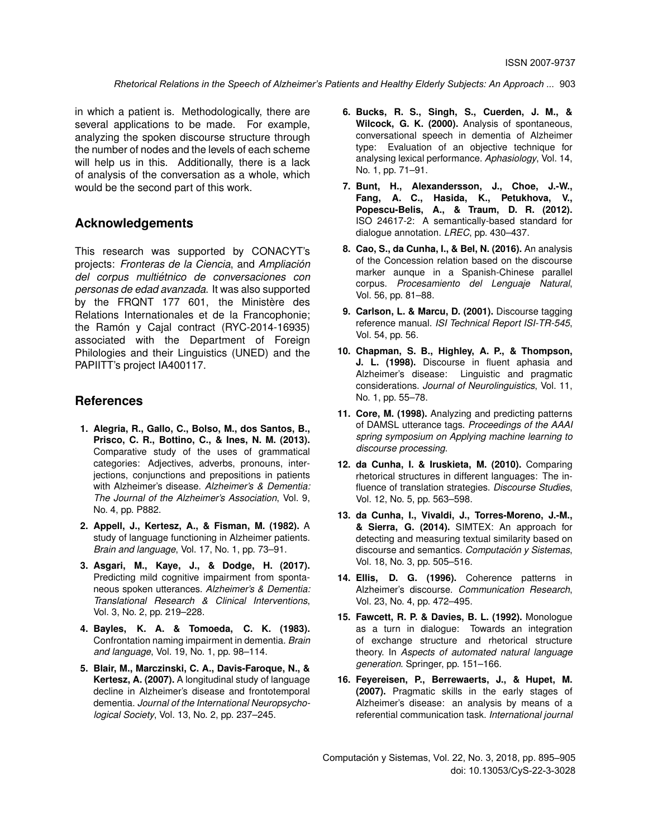in which a patient is. Methodologically, there are several applications to be made. For example, analyzing the spoken discourse structure through the number of nodes and the levels of each scheme will help us in this. Additionally, there is a lack of analysis of the conversation as a whole, which would be the second part of this work.

### **Acknowledgements**

This research was supported by CONACYT's projects: *Fronteras de la Ciencia*, and *Ampliacion´ del corpus multietnico de conversaciones con ´ personas de edad avanzada*. It was also supported by the FRQNT 177 601, the Ministère des Relations Internationales et de la Francophonie; the Ramón y Cajal contract  $(RYC-2014-16935)$ associated with the Department of Foreign Philologies and their Linguistics (UNED) and the PAPIITT's project IA400117.

## **References**

- **1. Alegria, R., Gallo, C., Bolso, M., dos Santos, B., Prisco, C. R., Bottino, C., & Ines, N. M. (2013).** Comparative study of the uses of grammatical categories: Adjectives, adverbs, pronouns, interjections, conjunctions and prepositions in patients with Alzheimer's disease. *Alzheimer's & Dementia: The Journal of the Alzheimer's Association*, Vol. 9, No. 4, pp. P882.
- **2. Appell, J., Kertesz, A., & Fisman, M. (1982).** A study of language functioning in Alzheimer patients. *Brain and language*, Vol. 17, No. 1, pp. 73–91.
- **3. Asgari, M., Kaye, J., & Dodge, H. (2017).** Predicting mild cognitive impairment from spontaneous spoken utterances. *Alzheimer's & Dementia: Translational Research & Clinical Interventions*, Vol. 3, No. 2, pp. 219–228.
- **4. Bayles, K. A. & Tomoeda, C. K. (1983).** Confrontation naming impairment in dementia. *Brain and language*, Vol. 19, No. 1, pp. 98–114.
- **5. Blair, M., Marczinski, C. A., Davis-Faroque, N., & Kertesz, A. (2007).** A longitudinal study of language decline in Alzheimer's disease and frontotemporal dementia. *Journal of the International Neuropsychological Society*, Vol. 13, No. 2, pp. 237–245.
- **6. Bucks, R. S., Singh, S., Cuerden, J. M., & Wilcock, G. K. (2000).** Analysis of spontaneous, conversational speech in dementia of Alzheimer type: Evaluation of an objective technique for analysing lexical performance. *Aphasiology*, Vol. 14, No. 1, pp. 71–91.
- **7. Bunt, H., Alexandersson, J., Choe, J.-W., Fang, A. C., Hasida, K., Petukhova, V., Popescu-Belis, A., & Traum, D. R. (2012).** ISO 24617-2: A semantically-based standard for dialogue annotation. *LREC*, pp. 430–437.
- **8. Cao, S., da Cunha, I., & Bel, N. (2016).** An analysis of the Concession relation based on the discourse marker aunque in a Spanish-Chinese parallel corpus. *Procesamiento del Lenguaje Natural*, Vol. 56, pp. 81–88.
- **9. Carlson, L. & Marcu, D. (2001).** Discourse tagging reference manual. *ISI Technical Report ISI-TR-545*, Vol. 54, pp. 56.
- **10. Chapman, S. B., Highley, A. P., & Thompson, J. L. (1998).** Discourse in fluent aphasia and Alzheimer's disease: Linguistic and pragmatic considerations. *Journal of Neurolinguistics*, Vol. 11, No. 1, pp. 55–78.
- **11. Core, M. (1998).** Analyzing and predicting patterns of DAMSL utterance tags. *Proceedings of the AAAI spring symposium on Applying machine learning to discourse processing*.
- **12. da Cunha, I. & Iruskieta, M. (2010).** Comparing rhetorical structures in different languages: The influence of translation strategies. *Discourse Studies*, Vol. 12, No. 5, pp. 563–598.
- **13. da Cunha, I., Vivaldi, J., Torres-Moreno, J.-M., & Sierra, G. (2014).** SIMTEX: An approach for detecting and measuring textual similarity based on discourse and semantics. *Computacion y Sistemas ´* , Vol. 18, No. 3, pp. 505–516.
- **14. Ellis, D. G. (1996).** Coherence patterns in Alzheimer's discourse. *Communication Research*, Vol. 23, No. 4, pp. 472–495.
- **15. Fawcett, R. P. & Davies, B. L. (1992).** Monologue as a turn in dialogue: Towards an integration of exchange structure and rhetorical structure theory. In *Aspects of automated natural language generation*. Springer, pp. 151–166.
- **16. Feyereisen, P., Berrewaerts, J., & Hupet, M. (2007).** Pragmatic skills in the early stages of Alzheimer's disease: an analysis by means of a referential communication task. *International journal*

Computación y Sistemas, Vol. 22, No. 3, 2018, pp. 895–905 doi: 10.13053/CyS-22-3-3028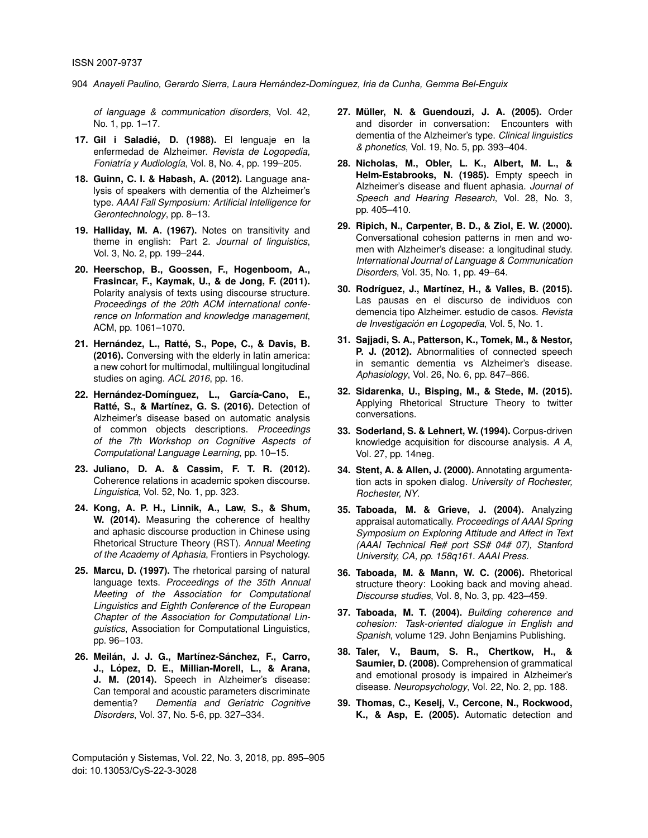*of language & communication disorders*, Vol. 42, No. 1, pp. 1–17.

- **17. Gil i Saladie, D. (1988). ´** El lenguaje en la enfermedad de Alzheimer. *Revista de Logopedia, Foniatría y Audiología*, Vol. 8, No. 4, pp. 199-205.
- **18. Guinn, C. I. & Habash, A. (2012).** Language analysis of speakers with dementia of the Alzheimer's type. *AAAI Fall Symposium: Artificial Intelligence for Gerontechnology*, pp. 8–13.
- **19. Halliday, M. A. (1967).** Notes on transitivity and theme in english: Part 2. *Journal of linguistics*, Vol. 3, No. 2, pp. 199–244.
- **20. Heerschop, B., Goossen, F., Hogenboom, A., Frasincar, F., Kaymak, U., & de Jong, F. (2011).** Polarity analysis of texts using discourse structure. *Proceedings of the 20th ACM international conference on Information and knowledge management*, ACM, pp. 1061–1070.
- 21. Hernández, L., Ratté, S., Pope, C., & Davis, B. **(2016).** Conversing with the elderly in latin america: a new cohort for multimodal, multilingual longitudinal studies on aging. *ACL 2016*, pp. 16.
- 22. Hernández-Domínguez, L., García-Cano, E., Ratté, S., & Martínez, G. S. (2016). Detection of Alzheimer's disease based on automatic analysis of common objects descriptions. *Proceedings of the 7th Workshop on Cognitive Aspects of Computational Language Learning*, pp. 10–15.
- **23. Juliano, D. A. & Cassim, F. T. R. (2012).** Coherence relations in academic spoken discourse. *Linguistica*, Vol. 52, No. 1, pp. 323.
- **24. Kong, A. P. H., Linnik, A., Law, S., & Shum, W. (2014).** Measuring the coherence of healthy and aphasic discourse production in Chinese using Rhetorical Structure Theory (RST). *Annual Meeting of the Academy of Aphasia*, Frontiers in Psychology.
- **25. Marcu, D. (1997).** The rhetorical parsing of natural language texts. *Proceedings of the 35th Annual Meeting of the Association for Computational Linguistics and Eighth Conference of the European Chapter of the Association for Computational Linguistics*, Association for Computational Linguistics, pp. 96–103.
- 26. Meilán, J. J. G., Martínez-Sánchez, F., Carro, **J., Lopez, D. E., Millian-Morell, L., & Arana, ´ J. M. (2014).** Speech in Alzheimer's disease: Can temporal and acoustic parameters discriminate dementia? *Dementia and Geriatric Cognitive Disorders*, Vol. 37, No. 5-6, pp. 327–334.
- 27. Müller, N. & Guendouzi, J. A. (2005). Order and disorder in conversation: Encounters with dementia of the Alzheimer's type. *Clinical linguistics & phonetics*, Vol. 19, No. 5, pp. 393–404.
- **28. Nicholas, M., Obler, L. K., Albert, M. L., & Helm-Estabrooks, N. (1985).** Empty speech in Alzheimer's disease and fluent aphasia. *Journal of Speech and Hearing Research*, Vol. 28, No. 3, pp. 405–410.
- **29. Ripich, N., Carpenter, B. D., & Ziol, E. W. (2000).** Conversational cohesion patterns in men and women with Alzheimer's disease: a longitudinal study. *International Journal of Language & Communication Disorders*, Vol. 35, No. 1, pp. 49–64.
- 30. Rodríguez, J., Martínez, H., & Valles, B. (2015). Las pausas en el discurso de individuos con demencia tipo Alzheimer. estudio de casos. *Revista de Investigación en Logopedia*, Vol. 5, No. 1.
- **31. Sajjadi, S. A., Patterson, K., Tomek, M., & Nestor, P. J. (2012).** Abnormalities of connected speech in semantic dementia vs Alzheimer's disease. *Aphasiology*, Vol. 26, No. 6, pp. 847–866.
- **32. Sidarenka, U., Bisping, M., & Stede, M. (2015).** Applying Rhetorical Structure Theory to twitter conversations.
- **33. Soderland, S. & Lehnert, W. (1994).** Corpus-driven knowledge acquisition for discourse analysis. *A A*, Vol. 27, pp. 14neg.
- **34. Stent, A. & Allen, J. (2000).** Annotating argumentation acts in spoken dialog. *University of Rochester, Rochester, NY*.
- **35. Taboada, M. & Grieve, J. (2004).** Analyzing appraisal automatically. *Proceedings of AAAI Spring Symposium on Exploring Attitude and Affect in Text (AAAI Technical Re# port SS# 04# 07), Stanford University, CA, pp. 158q161. AAAI Press*.
- **36. Taboada, M. & Mann, W. C. (2006).** Rhetorical structure theory: Looking back and moving ahead. *Discourse studies*, Vol. 8, No. 3, pp. 423–459.
- **37. Taboada, M. T. (2004).** *Building coherence and cohesion: Task-oriented dialogue in English and Spanish*, volume 129. John Benjamins Publishing.
- **38. Taler, V., Baum, S. R., Chertkow, H., & Saumier, D. (2008).** Comprehension of grammatical and emotional prosody is impaired in Alzheimer's disease. *Neuropsychology*, Vol. 22, No. 2, pp. 188.
- **39. Thomas, C., Keselj, V., Cercone, N., Rockwood, K., & Asp, E. (2005).** Automatic detection and

Computación y Sistemas, Vol. 22, No. 3, 2018, pp. 895–905 doi: 10.13053/CyS-22-3-3028